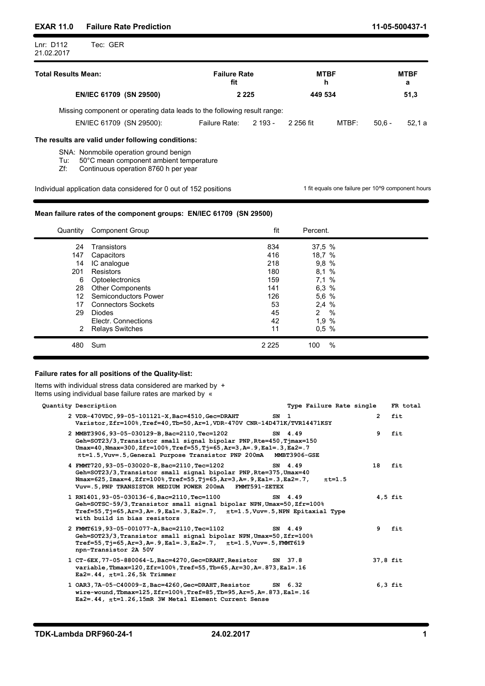# EXAR 11.0 Failure Rate Prediction 11-05-500437-1

| Tec: GER<br>Lnr: D112<br>21.02.2017 |                            |                  |                  |
|-------------------------------------|----------------------------|------------------|------------------|
| <b>Total Results Mean:</b>          | <b>Failure Rate</b><br>fit | <b>MTBF</b><br>h | <b>MTBF</b><br>a |
| EN/IEC 61709 (SN 29500)             | 2 2 2 5                    | 449 534          | 51,3             |

Missing component or operating data leads to the following result range:

| 61709<br>EN/IEC | (SN<br>$29500$ : | Rate <sup>®</sup><br>allure | 2 גמ<br>∪י<br>- | 2 256 fit | <b>MTBF</b> | $\sim$ $\sim$<br>51<br>O.UG | -0<br>. ۱ a<br>. |
|-----------------|------------------|-----------------------------|-----------------|-----------|-------------|-----------------------------|------------------|

## The results are valid under following conditions:

i.

SNA: Nonmobile operation ground benign

Tu: 50°C mean component ambient temperature

Zf: Continuous operation 8760 h per year

Individual application data considered for 0 out of 152 positions 1 fit equals one failure per 10^9 component hours

## Mean failure rates of the component groups: EN/IEC 61709 (SN 29500)

| Quantity | <b>Component Group</b>      | fit     | Percent.  |  |
|----------|-----------------------------|---------|-----------|--|
| 24       | Transistors                 | 834     | 37,5 %    |  |
| 147      | Capacitors                  | 416     | 18,7 %    |  |
| 14       | IC analogue                 | 218     | 9,8 %     |  |
| 201      | Resistors                   | 180     | 8,1 %     |  |
| 6        | Optoelectronics             | 159     | 7,1 %     |  |
| 28       | <b>Other Components</b>     | 141     | 6,3 %     |  |
| 12       | <b>Semiconductors Power</b> | 126     | 5,6 %     |  |
| 17       | <b>Connectors Sockets</b>   | 53      | 2,4%      |  |
| 29       | Diodes                      | 45      | $\%$<br>2 |  |
|          | Electr. Connections         | 42      | 1,9 %     |  |
|          | 2 Relays Switches           | 11      | $0,5$ %   |  |
| 480      | Sum                         | 2 2 2 5 | %<br>100  |  |
|          |                             |         |           |  |

## Failure rates for all positions of the Quality-list:

| Items with individual stress data considered are marked by +<br>Items using individual base failure rates are marked by «                                                                                                                                                      |        |                          |              |           |
|--------------------------------------------------------------------------------------------------------------------------------------------------------------------------------------------------------------------------------------------------------------------------------|--------|--------------------------|--------------|-----------|
| Quantity Description                                                                                                                                                                                                                                                           |        | Type Failure Rate single |              | FR total  |
| 2 VDR-470VDC, 99-05-101121-X, Bac=4510, Gec=DRAHT<br>Varistor, Zfr=100%, Tref=40, Tb=50, Ar=1, VDR-470V CNR-14D471K/TVR14471KSY                                                                                                                                                | $SN$ 1 |                          | $\mathbf{2}$ | fit       |
| 2 MMBT3906, 93-05-030129-B, Bac=2110, Tec=1202<br>Geh=SOT23/3, Transistor small signal bipolar PNP, Rte=450, Tjmax=150<br>Umax=40, Nmax=300, Zfr=100%, Tref=55, Tj=65, Ar=3, A=. 9, Ea1=. 3, Ea2=. 7<br>$\pi$ t=1.5, Vuv=.5, General Purpose Transistor PNP 200mA MMBT3906-GSE |        | SN 4.49                  | 9            | fit       |
| 4 FMMT720, 93-05-030020-E, Bac=2110, Tec=1202<br>Geh=SOT23/3, Transistor small signal bipolar PNP, Rte=375, Umax=40<br>Nmax=625, Imax=4, Zfr=100%, Tref=55, Tj=65, Ar=3, A=. 9, Ea1=. 3, Ea2=. 7,<br>Vuv=.5, PNP TRANSISTOR MEDIUM POWER 200mA FMMT591-ZETEX                   |        | SN 4.49<br>$\pi$ t=1.5   | 18           | fit       |
| 1 RN1401, 93-05-030136-6, Bac=2110, Tec=1100<br>Geh=SOTSC-59/3, Transistor small signal bipolar NPN, Umax=50, Zfr=100%<br>$Tref=55, Tj=65, Ar=3, A=0.9, Ea1=.3, Ea2=.7, \pi t=1.5, Vuv=.5, NPN Epitaxial Type$<br>with build in bias resistors                                 |        | SN 4.49                  |              | $4,5$ fit |
| 2 FMMT619, 93-05-001077-A, Bac=2110, Tec=1102<br>Geh=SOT23/3, Transistor small signal bipolar NPN, Umax=50, Zfr=100%<br>$Tref=55, Tj=65, Ar=3, A=.9, Ea1=.3, Ea2=.7, \pi t=1.5, Vuv=.5, FMMT619$<br>npn-Transistor 2A 50V                                                      |        | SN 4.49                  |              | 9 fit     |
| 1 CT-6EX, 77-05-880064-L, Bac=4270, Gec=DRAHT, Resistor<br>variable, Tbmax=120, Zfr=100%, Tref=55, Tb=65, Ar=30, A=. 873, Ea1=. 16<br>$Ea2 = .44$ , $\pi t = 1.26$ , 5k Trimmer                                                                                                |        | SN 37.8                  | 37,8 fit     |           |
| 1 OAR3, 7A-05-C40009-Z, Bac=4260, Gec=DRAHT, Resistor<br>wire-wound, Tbmax=125, Zfr=100%, Tref=85, Tb=95, Ar=5, A=. 873, Ea1=. 16<br>$Ea2 = .44$ , $\pi t = 1.26$ , 15mR 3W Metal Element Current Sense                                                                        |        | SN 6.32                  |              | $6,3$ fit |
|                                                                                                                                                                                                                                                                                |        |                          |              |           |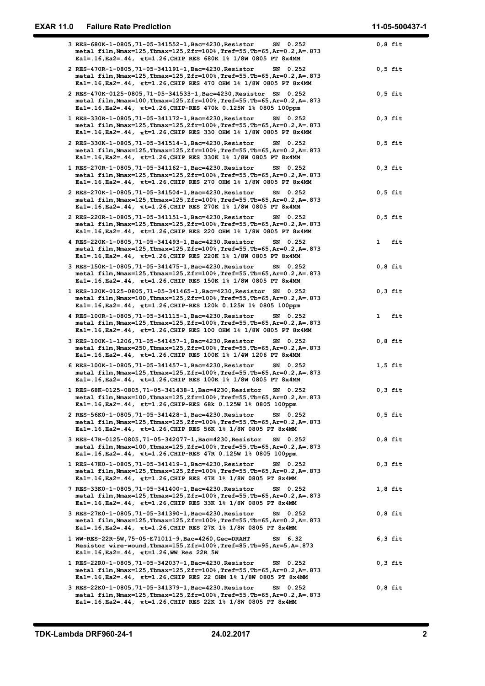| 3 RES-680K-1-0805, 71-05-341552-1, Bac=4230, Resistor<br>$0,8$ fit<br>SN 0.252<br>metal film, Nmax=125, Tbmax=125, Zfr=100%, Tref=55, Tb=65, Ar=0.2, A=. 873<br>Eal=.16, Ea2=.44, πt=1.26, CHIP RES 680K 1% 1/8W 0805 PT 8x4MM<br>2 RES-470R-1-0805, 71-05-341191-1, Bac=4230, Resistor<br>$0,5$ fit<br>SN 0.252<br>metal film, Nmax=125, Tbmax=125, Zfr=100%, Tref=55, Tb=65, Ar=0.2, A=. 873<br>Eal=.16, Ea2=.44, πt=1.26, CHIP RES 470 OHM 1% 1/8W 0805 PT 8x4MM<br>2 RES-470K-0125-0805, 71-05-341533-1, Bac=4230, Resistor SN 0.252<br>$0,5$ fit<br>metal film, Nmax=100, Tbmax=125, Zfr=100%, Tref=55, Tb=65, Ar=0.2, A=.873<br>Eal=.16, Ea2=.44, $\pi t$ =1.26, CHIP-RES 470k 0.125W 1% 0805 100ppm<br>1 RES-330R-1-0805, 71-05-341172-1, Bac=4230, Resistor<br>$0,3$ fit<br>SN 0.252<br>metal film, Nmax=125, Tbmax=125, Zfr=100%, Tref=55, Tb=65, Ar=0.2, A=.873<br>Eal=.16, Ea2=.44, $\pi$ t=1.26, CHIP RES 330 OHM 1% 1/8W 0805 PT 8x4MM<br>2 RES-330K-1-0805, 71-05-341514-1, Bac=4230, Resistor<br>$0,5$ fit<br>SN 0.252<br>metal film, Nmax=125, Tbmax=125, Zfr=100%, Tref=55, Tb=65, Ar=0.2, A=. 873<br>Eal=.16, Ea2=.44, $\pi$ t=1.26, CHIP RES 330K 1% 1/8W 0805 PT 8x4MM<br>$0,3$ fit<br>1 RES-270R-1-0805, 71-05-341162-1, Bac=4230, Resistor<br>SN 0.252<br>metal film, Nmax=125, Tbmax=125, Zfr=100%, Tref=55, Tb=65, Ar=0.2, A=. 873<br>Eal=.16, Ea2=.44, πt=1.26, CHIP RES 270 OHM 1% 1/8W 0805 PT 8x4MM<br>$0,5$ fit<br>2 RES-270K-1-0805,71-05-341504-1,Bac=4230,Resistor<br>SN 0.252<br>metal film, Nmax=125, Tbmax=125, Zfr=100%, Tref=55, Tb=65, Ar=0.2, A=. 873<br>Eal=.16, Ea2=.44, $\pi t$ =1.26, CHIP RES 270K 1% 1/8W 0805 PT 8x4MM<br>2 RES-220R-1-0805, 71-05-341151-1, Bac=4230, Resistor<br>$0,5$ fit<br>SN 0.252<br>metal film, Nmax=125, Tbmax=125, Zfr=100%, Tref=55, Tb=65, Ar=0.2, A=.873<br>Eal=.16, Ea2=.44, $\pi$ t=1.26, CHIP RES 220 OHM 1% 1/8W 0805 PT 8x4MM<br>4 RES-220K-1-0805, 71-05-341493-1, Bac=4230, Resistor<br>SN 0.252<br>$\mathbf{1}$<br>fit<br>metal film, Nmax=125, Tbmax=125, Zfr=100%, Tref=55, Tb=65, Ar=0.2, A=. 873<br>Eal=.16, Ea2=.44, $\pi t$ =1.26, CHIP RES 220K 1% 1/8W 0805 PT 8x4MM<br>3 RES-150K-1-0805, 71-05-341475-1, Bac=4230, Resistor<br>$0,8$ fit<br>SN 0.252<br>metal film, Nmax=125, Tbmax=125, Zfr=100%, Tref=55, Tb=65, Ar=0.2, A=. 873<br>Eal=.16, Ea2=.44, $\pi t$ =1.26, CHIP RES 150K 1% 1/8W 0805 PT 8x4MM<br>$0,3$ fit<br>1 RES-120K-0125-0805, 71-05-341465-1, Bac=4230, Resistor SN 0.252<br>metal film, Nmax=100, Tbmax=125, Zfr=100%, Tref=55, Tb=65, Ar=0.2, A=. 873<br>Eal=.16, Ea2=.44, $\pi t$ =1.26, CHIP-RES 120k 0.125W 1% 0805 100ppm<br>4 RES-100R-1-0805, 71-05-341115-1, Bac=4230, Resistor<br>fit<br>SN 0.252<br>$\mathbf{1}$<br>metal film, Nmax=125, Tbmax=125, Zfr=100%, Tref=55, Tb=65, Ar=0.2, A=.873<br>Eal=.16, Ea2=.44, $\pi$ t=1.26, CHIP RES 100 OHM 1% 1/8W 0805 PT 8x4MM<br>3 RES-100K-1-1206,71-05-541457-1,Bac=4230,Resistor<br>SN 0.252<br>$0,8$ fit<br>metal film, Nmax=250, Tbmax=125, Zfr=100%, Tref=55, Tb=65, Ar=0.2, A=.873<br>Eal=.16, Ea2=.44, πt=1.26, CHIP RES 100K 1% 1/4W 1206 PT 8x4MM<br>6 RES-100K-1-0805,71-05-341457-1,Bac=4230,Resistor<br>$1,5$ fit<br>SN 0.252<br>metal film, Nmax=125, Tbmax=125, Zfr=100%, Tref=55, Tb=65, Ar=0.2, A=. 873<br>Eal=.16, Ea2=.44, $\pi$ t=1.26, CHIP RES 100K 1% 1/8W 0805 PT 8x4MM<br>1 RES-68K-0125-0805,71-05-341438-1, Bac=4230, Resistor SN 0.252<br>$0,3$ fit<br>metal film, Nmax=100, Tbmax=125, Zfr=100%, Tref=55, Tb=65, Ar=0.2, A=. 873<br>Eal=.16, Ea2=.44, πt=1.26, CHIP-RES 68k 0.125W 1% 0805 100ppm<br>2 RES-56K0-1-0805,71-05-341428-1,Bac=4230,Resistor<br>$0,5$ fit<br>SN 0.252<br>metal film, Nmax=125, Tbmax=125, Zfr=100%, Tref=55, Tb=65, Ar=0.2, A=. 873<br>Eal=.16, Ea2=.44, $\pi$ t=1.26, CHIP RES 56K 1% 1/8W 0805 PT 8x4MM<br>3 RES-47R-0125-0805,71-05-342077-1,Bac=4230,Resistor SN 0.252<br>$0,8$ fit<br>metal film,Nmax=100,Tbmax=125,Zfr=100%,Tref=55,Tb=65,Ar=0.2,A=.873<br>Eal=.16, Ea2=.44, $\pi$ t=1.26, CHIP-RES 47R 0.125W 1% 0805 100ppm<br>1 RES-47K0-1-0805,71-05-341419-1,Bac=4230,Resistor<br>$0,3$ fit<br>SN 0.252<br>metal film, Nmax=125, Tbmax=125, Zfr=100%, Tref=55, Tb=65, Ar=0.2, A=. 873<br>Eal=.16, Ea2=.44, πt=1.26, CHIP RES 47K 1% 1/8W 0805 PT 8x4MM<br>7 RES-33K0-1-0805,71-05-341400-1,Bac=4230,Resistor<br>$1,8$ fit<br>SN 0.252<br>metal film, Nmax=125, Tbmax=125, Zfr=100%, Tref=55, Tb=65, Ar=0.2, A=.873<br>Eal=.16, Ea2=.44, $\pi$ t=1.26, CHIP RES 33K 1% 1/8W 0805 PT 8x4MM<br>3 RES-27K0-1-0805,71-05-341390-1,Bac=4230,Resistor<br>SN 0.252<br>$0,8$ fit<br>metal film, Nmax=125, Tbmax=125, Zfr=100%, Tref=55, Tb=65, Ar=0.2, A=. 873<br>Eal=.16, Ea2=.44, $\pi$ t=1.26, CHIP RES 27K 1% 1/8W 0805 PT 8x4MM<br>1 WW-RES-22R-5W, 75-05-E71011-9, Bac=4260, Gec=DRAHT<br>$6,3$ fit<br>SN 6.32<br>Resistor wire-wound, Tbmax=155, Zfr=100%, Tref=85, Tb=95, Ar=5, A=. 873<br>Ea1=.16, Ea2=.44, $\pi$ t=1.26, WW Res 22R 5W<br>1 RES-22R0-1-0805,71-05-342037-1,Bac=4230,Resistor<br>SN 0.252<br>$0,3$ fit<br>metal film, Nmax=125, Tbmax=125, Zfr=100%, Tref=55, Tb=65, Ar=0.2, A=.873<br>Eal=.16, Ea2=.44, $\pi$ t=1.26, CHIP RES 22 OHM 1% 1/8W 0805 PT 8x4MM<br>3 RES-22K0-1-0805,71-05-341379-1,Bac=4230,Resistor<br>SN 0.252<br>$0,8$ fit<br>metal film, Nmax=125, Tbmax=125, Zfr=100%, Tref=55, Tb=65, Ar=0.2, A=. 873 | <b>EXAR 11.0</b> | <b>Failure Rate Prediction</b>                                      | 11-05-500437-1 |
|-----------------------------------------------------------------------------------------------------------------------------------------------------------------------------------------------------------------------------------------------------------------------------------------------------------------------------------------------------------------------------------------------------------------------------------------------------------------------------------------------------------------------------------------------------------------------------------------------------------------------------------------------------------------------------------------------------------------------------------------------------------------------------------------------------------------------------------------------------------------------------------------------------------------------------------------------------------------------------------------------------------------------------------------------------------------------------------------------------------------------------------------------------------------------------------------------------------------------------------------------------------------------------------------------------------------------------------------------------------------------------------------------------------------------------------------------------------------------------------------------------------------------------------------------------------------------------------------------------------------------------------------------------------------------------------------------------------------------------------------------------------------------------------------------------------------------------------------------------------------------------------------------------------------------------------------------------------------------------------------------------------------------------------------------------------------------------------------------------------------------------------------------------------------------------------------------------------------------------------------------------------------------------------------------------------------------------------------------------------------------------------------------------------------------------------------------------------------------------------------------------------------------------------------------------------------------------------------------------------------------------------------------------------------------------------------------------------------------------------------------------------------------------------------------------------------------------------------------------------------------------------------------------------------------------------------------------------------------------------------------------------------------------------------------------------------------------------------------------------------------------------------------------------------------------------------------------------------------------------------------------------------------------------------------------------------------------------------------------------------------------------------------------------------------------------------------------------------------------------------------------------------------------------------------------------------------------------------------------------------------------------------------------------------------------------------------------------------------------------------------------------------------------------------------------------------------------------------------------------------------------------------------------------------------------------------------------------------------------------------------------------------------------------------------------------------------------------------------------------------------------------------------------------------------------------------------------------------------------------------------------------------------------------------------------------------------------------------------------------------------------------------------------------------------------------------------------------------------------------------------------------------------------------------------------------------------------------------------------------------------------------------------------------------------------------------------------------------------------------------------------------------------------------------------------------------------------------------------------------------------------------------------------------------------------------------------------------------------------------------------------------------------------------------------------------------------------------------------------------------------------------------------------------------------------------------------------------------------------------------------------------------------------------------------------------------------------------------------------------------------------------|------------------|---------------------------------------------------------------------|----------------|
|                                                                                                                                                                                                                                                                                                                                                                                                                                                                                                                                                                                                                                                                                                                                                                                                                                                                                                                                                                                                                                                                                                                                                                                                                                                                                                                                                                                                                                                                                                                                                                                                                                                                                                                                                                                                                                                                                                                                                                                                                                                                                                                                                                                                                                                                                                                                                                                                                                                                                                                                                                                                                                                                                                                                                                                                                                                                                                                                                                                                                                                                                                                                                                                                                                                                                                                                                                                                                                                                                                                                                                                                                                                                                                                                                                                                                                                                                                                                                                                                                                                                                                                                                                                                                                                                                                                                                                                                                                                                                                                                                                                                                                                                                                                                                                                                                                                                                                                                                                                                                                                                                                                                                                                                                                                                                                                                                                                   |                  |                                                                     |                |
|                                                                                                                                                                                                                                                                                                                                                                                                                                                                                                                                                                                                                                                                                                                                                                                                                                                                                                                                                                                                                                                                                                                                                                                                                                                                                                                                                                                                                                                                                                                                                                                                                                                                                                                                                                                                                                                                                                                                                                                                                                                                                                                                                                                                                                                                                                                                                                                                                                                                                                                                                                                                                                                                                                                                                                                                                                                                                                                                                                                                                                                                                                                                                                                                                                                                                                                                                                                                                                                                                                                                                                                                                                                                                                                                                                                                                                                                                                                                                                                                                                                                                                                                                                                                                                                                                                                                                                                                                                                                                                                                                                                                                                                                                                                                                                                                                                                                                                                                                                                                                                                                                                                                                                                                                                                                                                                                                                                   |                  |                                                                     |                |
|                                                                                                                                                                                                                                                                                                                                                                                                                                                                                                                                                                                                                                                                                                                                                                                                                                                                                                                                                                                                                                                                                                                                                                                                                                                                                                                                                                                                                                                                                                                                                                                                                                                                                                                                                                                                                                                                                                                                                                                                                                                                                                                                                                                                                                                                                                                                                                                                                                                                                                                                                                                                                                                                                                                                                                                                                                                                                                                                                                                                                                                                                                                                                                                                                                                                                                                                                                                                                                                                                                                                                                                                                                                                                                                                                                                                                                                                                                                                                                                                                                                                                                                                                                                                                                                                                                                                                                                                                                                                                                                                                                                                                                                                                                                                                                                                                                                                                                                                                                                                                                                                                                                                                                                                                                                                                                                                                                                   |                  |                                                                     |                |
|                                                                                                                                                                                                                                                                                                                                                                                                                                                                                                                                                                                                                                                                                                                                                                                                                                                                                                                                                                                                                                                                                                                                                                                                                                                                                                                                                                                                                                                                                                                                                                                                                                                                                                                                                                                                                                                                                                                                                                                                                                                                                                                                                                                                                                                                                                                                                                                                                                                                                                                                                                                                                                                                                                                                                                                                                                                                                                                                                                                                                                                                                                                                                                                                                                                                                                                                                                                                                                                                                                                                                                                                                                                                                                                                                                                                                                                                                                                                                                                                                                                                                                                                                                                                                                                                                                                                                                                                                                                                                                                                                                                                                                                                                                                                                                                                                                                                                                                                                                                                                                                                                                                                                                                                                                                                                                                                                                                   |                  |                                                                     |                |
|                                                                                                                                                                                                                                                                                                                                                                                                                                                                                                                                                                                                                                                                                                                                                                                                                                                                                                                                                                                                                                                                                                                                                                                                                                                                                                                                                                                                                                                                                                                                                                                                                                                                                                                                                                                                                                                                                                                                                                                                                                                                                                                                                                                                                                                                                                                                                                                                                                                                                                                                                                                                                                                                                                                                                                                                                                                                                                                                                                                                                                                                                                                                                                                                                                                                                                                                                                                                                                                                                                                                                                                                                                                                                                                                                                                                                                                                                                                                                                                                                                                                                                                                                                                                                                                                                                                                                                                                                                                                                                                                                                                                                                                                                                                                                                                                                                                                                                                                                                                                                                                                                                                                                                                                                                                                                                                                                                                   |                  |                                                                     |                |
|                                                                                                                                                                                                                                                                                                                                                                                                                                                                                                                                                                                                                                                                                                                                                                                                                                                                                                                                                                                                                                                                                                                                                                                                                                                                                                                                                                                                                                                                                                                                                                                                                                                                                                                                                                                                                                                                                                                                                                                                                                                                                                                                                                                                                                                                                                                                                                                                                                                                                                                                                                                                                                                                                                                                                                                                                                                                                                                                                                                                                                                                                                                                                                                                                                                                                                                                                                                                                                                                                                                                                                                                                                                                                                                                                                                                                                                                                                                                                                                                                                                                                                                                                                                                                                                                                                                                                                                                                                                                                                                                                                                                                                                                                                                                                                                                                                                                                                                                                                                                                                                                                                                                                                                                                                                                                                                                                                                   |                  |                                                                     |                |
|                                                                                                                                                                                                                                                                                                                                                                                                                                                                                                                                                                                                                                                                                                                                                                                                                                                                                                                                                                                                                                                                                                                                                                                                                                                                                                                                                                                                                                                                                                                                                                                                                                                                                                                                                                                                                                                                                                                                                                                                                                                                                                                                                                                                                                                                                                                                                                                                                                                                                                                                                                                                                                                                                                                                                                                                                                                                                                                                                                                                                                                                                                                                                                                                                                                                                                                                                                                                                                                                                                                                                                                                                                                                                                                                                                                                                                                                                                                                                                                                                                                                                                                                                                                                                                                                                                                                                                                                                                                                                                                                                                                                                                                                                                                                                                                                                                                                                                                                                                                                                                                                                                                                                                                                                                                                                                                                                                                   |                  |                                                                     |                |
|                                                                                                                                                                                                                                                                                                                                                                                                                                                                                                                                                                                                                                                                                                                                                                                                                                                                                                                                                                                                                                                                                                                                                                                                                                                                                                                                                                                                                                                                                                                                                                                                                                                                                                                                                                                                                                                                                                                                                                                                                                                                                                                                                                                                                                                                                                                                                                                                                                                                                                                                                                                                                                                                                                                                                                                                                                                                                                                                                                                                                                                                                                                                                                                                                                                                                                                                                                                                                                                                                                                                                                                                                                                                                                                                                                                                                                                                                                                                                                                                                                                                                                                                                                                                                                                                                                                                                                                                                                                                                                                                                                                                                                                                                                                                                                                                                                                                                                                                                                                                                                                                                                                                                                                                                                                                                                                                                                                   |                  |                                                                     |                |
|                                                                                                                                                                                                                                                                                                                                                                                                                                                                                                                                                                                                                                                                                                                                                                                                                                                                                                                                                                                                                                                                                                                                                                                                                                                                                                                                                                                                                                                                                                                                                                                                                                                                                                                                                                                                                                                                                                                                                                                                                                                                                                                                                                                                                                                                                                                                                                                                                                                                                                                                                                                                                                                                                                                                                                                                                                                                                                                                                                                                                                                                                                                                                                                                                                                                                                                                                                                                                                                                                                                                                                                                                                                                                                                                                                                                                                                                                                                                                                                                                                                                                                                                                                                                                                                                                                                                                                                                                                                                                                                                                                                                                                                                                                                                                                                                                                                                                                                                                                                                                                                                                                                                                                                                                                                                                                                                                                                   |                  |                                                                     |                |
|                                                                                                                                                                                                                                                                                                                                                                                                                                                                                                                                                                                                                                                                                                                                                                                                                                                                                                                                                                                                                                                                                                                                                                                                                                                                                                                                                                                                                                                                                                                                                                                                                                                                                                                                                                                                                                                                                                                                                                                                                                                                                                                                                                                                                                                                                                                                                                                                                                                                                                                                                                                                                                                                                                                                                                                                                                                                                                                                                                                                                                                                                                                                                                                                                                                                                                                                                                                                                                                                                                                                                                                                                                                                                                                                                                                                                                                                                                                                                                                                                                                                                                                                                                                                                                                                                                                                                                                                                                                                                                                                                                                                                                                                                                                                                                                                                                                                                                                                                                                                                                                                                                                                                                                                                                                                                                                                                                                   |                  |                                                                     |                |
|                                                                                                                                                                                                                                                                                                                                                                                                                                                                                                                                                                                                                                                                                                                                                                                                                                                                                                                                                                                                                                                                                                                                                                                                                                                                                                                                                                                                                                                                                                                                                                                                                                                                                                                                                                                                                                                                                                                                                                                                                                                                                                                                                                                                                                                                                                                                                                                                                                                                                                                                                                                                                                                                                                                                                                                                                                                                                                                                                                                                                                                                                                                                                                                                                                                                                                                                                                                                                                                                                                                                                                                                                                                                                                                                                                                                                                                                                                                                                                                                                                                                                                                                                                                                                                                                                                                                                                                                                                                                                                                                                                                                                                                                                                                                                                                                                                                                                                                                                                                                                                                                                                                                                                                                                                                                                                                                                                                   |                  |                                                                     |                |
|                                                                                                                                                                                                                                                                                                                                                                                                                                                                                                                                                                                                                                                                                                                                                                                                                                                                                                                                                                                                                                                                                                                                                                                                                                                                                                                                                                                                                                                                                                                                                                                                                                                                                                                                                                                                                                                                                                                                                                                                                                                                                                                                                                                                                                                                                                                                                                                                                                                                                                                                                                                                                                                                                                                                                                                                                                                                                                                                                                                                                                                                                                                                                                                                                                                                                                                                                                                                                                                                                                                                                                                                                                                                                                                                                                                                                                                                                                                                                                                                                                                                                                                                                                                                                                                                                                                                                                                                                                                                                                                                                                                                                                                                                                                                                                                                                                                                                                                                                                                                                                                                                                                                                                                                                                                                                                                                                                                   |                  |                                                                     |                |
|                                                                                                                                                                                                                                                                                                                                                                                                                                                                                                                                                                                                                                                                                                                                                                                                                                                                                                                                                                                                                                                                                                                                                                                                                                                                                                                                                                                                                                                                                                                                                                                                                                                                                                                                                                                                                                                                                                                                                                                                                                                                                                                                                                                                                                                                                                                                                                                                                                                                                                                                                                                                                                                                                                                                                                                                                                                                                                                                                                                                                                                                                                                                                                                                                                                                                                                                                                                                                                                                                                                                                                                                                                                                                                                                                                                                                                                                                                                                                                                                                                                                                                                                                                                                                                                                                                                                                                                                                                                                                                                                                                                                                                                                                                                                                                                                                                                                                                                                                                                                                                                                                                                                                                                                                                                                                                                                                                                   |                  |                                                                     |                |
|                                                                                                                                                                                                                                                                                                                                                                                                                                                                                                                                                                                                                                                                                                                                                                                                                                                                                                                                                                                                                                                                                                                                                                                                                                                                                                                                                                                                                                                                                                                                                                                                                                                                                                                                                                                                                                                                                                                                                                                                                                                                                                                                                                                                                                                                                                                                                                                                                                                                                                                                                                                                                                                                                                                                                                                                                                                                                                                                                                                                                                                                                                                                                                                                                                                                                                                                                                                                                                                                                                                                                                                                                                                                                                                                                                                                                                                                                                                                                                                                                                                                                                                                                                                                                                                                                                                                                                                                                                                                                                                                                                                                                                                                                                                                                                                                                                                                                                                                                                                                                                                                                                                                                                                                                                                                                                                                                                                   |                  |                                                                     |                |
|                                                                                                                                                                                                                                                                                                                                                                                                                                                                                                                                                                                                                                                                                                                                                                                                                                                                                                                                                                                                                                                                                                                                                                                                                                                                                                                                                                                                                                                                                                                                                                                                                                                                                                                                                                                                                                                                                                                                                                                                                                                                                                                                                                                                                                                                                                                                                                                                                                                                                                                                                                                                                                                                                                                                                                                                                                                                                                                                                                                                                                                                                                                                                                                                                                                                                                                                                                                                                                                                                                                                                                                                                                                                                                                                                                                                                                                                                                                                                                                                                                                                                                                                                                                                                                                                                                                                                                                                                                                                                                                                                                                                                                                                                                                                                                                                                                                                                                                                                                                                                                                                                                                                                                                                                                                                                                                                                                                   |                  |                                                                     |                |
|                                                                                                                                                                                                                                                                                                                                                                                                                                                                                                                                                                                                                                                                                                                                                                                                                                                                                                                                                                                                                                                                                                                                                                                                                                                                                                                                                                                                                                                                                                                                                                                                                                                                                                                                                                                                                                                                                                                                                                                                                                                                                                                                                                                                                                                                                                                                                                                                                                                                                                                                                                                                                                                                                                                                                                                                                                                                                                                                                                                                                                                                                                                                                                                                                                                                                                                                                                                                                                                                                                                                                                                                                                                                                                                                                                                                                                                                                                                                                                                                                                                                                                                                                                                                                                                                                                                                                                                                                                                                                                                                                                                                                                                                                                                                                                                                                                                                                                                                                                                                                                                                                                                                                                                                                                                                                                                                                                                   |                  |                                                                     |                |
|                                                                                                                                                                                                                                                                                                                                                                                                                                                                                                                                                                                                                                                                                                                                                                                                                                                                                                                                                                                                                                                                                                                                                                                                                                                                                                                                                                                                                                                                                                                                                                                                                                                                                                                                                                                                                                                                                                                                                                                                                                                                                                                                                                                                                                                                                                                                                                                                                                                                                                                                                                                                                                                                                                                                                                                                                                                                                                                                                                                                                                                                                                                                                                                                                                                                                                                                                                                                                                                                                                                                                                                                                                                                                                                                                                                                                                                                                                                                                                                                                                                                                                                                                                                                                                                                                                                                                                                                                                                                                                                                                                                                                                                                                                                                                                                                                                                                                                                                                                                                                                                                                                                                                                                                                                                                                                                                                                                   |                  |                                                                     |                |
|                                                                                                                                                                                                                                                                                                                                                                                                                                                                                                                                                                                                                                                                                                                                                                                                                                                                                                                                                                                                                                                                                                                                                                                                                                                                                                                                                                                                                                                                                                                                                                                                                                                                                                                                                                                                                                                                                                                                                                                                                                                                                                                                                                                                                                                                                                                                                                                                                                                                                                                                                                                                                                                                                                                                                                                                                                                                                                                                                                                                                                                                                                                                                                                                                                                                                                                                                                                                                                                                                                                                                                                                                                                                                                                                                                                                                                                                                                                                                                                                                                                                                                                                                                                                                                                                                                                                                                                                                                                                                                                                                                                                                                                                                                                                                                                                                                                                                                                                                                                                                                                                                                                                                                                                                                                                                                                                                                                   |                  |                                                                     |                |
|                                                                                                                                                                                                                                                                                                                                                                                                                                                                                                                                                                                                                                                                                                                                                                                                                                                                                                                                                                                                                                                                                                                                                                                                                                                                                                                                                                                                                                                                                                                                                                                                                                                                                                                                                                                                                                                                                                                                                                                                                                                                                                                                                                                                                                                                                                                                                                                                                                                                                                                                                                                                                                                                                                                                                                                                                                                                                                                                                                                                                                                                                                                                                                                                                                                                                                                                                                                                                                                                                                                                                                                                                                                                                                                                                                                                                                                                                                                                                                                                                                                                                                                                                                                                                                                                                                                                                                                                                                                                                                                                                                                                                                                                                                                                                                                                                                                                                                                                                                                                                                                                                                                                                                                                                                                                                                                                                                                   |                  |                                                                     |                |
|                                                                                                                                                                                                                                                                                                                                                                                                                                                                                                                                                                                                                                                                                                                                                                                                                                                                                                                                                                                                                                                                                                                                                                                                                                                                                                                                                                                                                                                                                                                                                                                                                                                                                                                                                                                                                                                                                                                                                                                                                                                                                                                                                                                                                                                                                                                                                                                                                                                                                                                                                                                                                                                                                                                                                                                                                                                                                                                                                                                                                                                                                                                                                                                                                                                                                                                                                                                                                                                                                                                                                                                                                                                                                                                                                                                                                                                                                                                                                                                                                                                                                                                                                                                                                                                                                                                                                                                                                                                                                                                                                                                                                                                                                                                                                                                                                                                                                                                                                                                                                                                                                                                                                                                                                                                                                                                                                                                   |                  |                                                                     |                |
|                                                                                                                                                                                                                                                                                                                                                                                                                                                                                                                                                                                                                                                                                                                                                                                                                                                                                                                                                                                                                                                                                                                                                                                                                                                                                                                                                                                                                                                                                                                                                                                                                                                                                                                                                                                                                                                                                                                                                                                                                                                                                                                                                                                                                                                                                                                                                                                                                                                                                                                                                                                                                                                                                                                                                                                                                                                                                                                                                                                                                                                                                                                                                                                                                                                                                                                                                                                                                                                                                                                                                                                                                                                                                                                                                                                                                                                                                                                                                                                                                                                                                                                                                                                                                                                                                                                                                                                                                                                                                                                                                                                                                                                                                                                                                                                                                                                                                                                                                                                                                                                                                                                                                                                                                                                                                                                                                                                   |                  |                                                                     |                |
|                                                                                                                                                                                                                                                                                                                                                                                                                                                                                                                                                                                                                                                                                                                                                                                                                                                                                                                                                                                                                                                                                                                                                                                                                                                                                                                                                                                                                                                                                                                                                                                                                                                                                                                                                                                                                                                                                                                                                                                                                                                                                                                                                                                                                                                                                                                                                                                                                                                                                                                                                                                                                                                                                                                                                                                                                                                                                                                                                                                                                                                                                                                                                                                                                                                                                                                                                                                                                                                                                                                                                                                                                                                                                                                                                                                                                                                                                                                                                                                                                                                                                                                                                                                                                                                                                                                                                                                                                                                                                                                                                                                                                                                                                                                                                                                                                                                                                                                                                                                                                                                                                                                                                                                                                                                                                                                                                                                   |                  |                                                                     |                |
|                                                                                                                                                                                                                                                                                                                                                                                                                                                                                                                                                                                                                                                                                                                                                                                                                                                                                                                                                                                                                                                                                                                                                                                                                                                                                                                                                                                                                                                                                                                                                                                                                                                                                                                                                                                                                                                                                                                                                                                                                                                                                                                                                                                                                                                                                                                                                                                                                                                                                                                                                                                                                                                                                                                                                                                                                                                                                                                                                                                                                                                                                                                                                                                                                                                                                                                                                                                                                                                                                                                                                                                                                                                                                                                                                                                                                                                                                                                                                                                                                                                                                                                                                                                                                                                                                                                                                                                                                                                                                                                                                                                                                                                                                                                                                                                                                                                                                                                                                                                                                                                                                                                                                                                                                                                                                                                                                                                   |                  |                                                                     |                |
|                                                                                                                                                                                                                                                                                                                                                                                                                                                                                                                                                                                                                                                                                                                                                                                                                                                                                                                                                                                                                                                                                                                                                                                                                                                                                                                                                                                                                                                                                                                                                                                                                                                                                                                                                                                                                                                                                                                                                                                                                                                                                                                                                                                                                                                                                                                                                                                                                                                                                                                                                                                                                                                                                                                                                                                                                                                                                                                                                                                                                                                                                                                                                                                                                                                                                                                                                                                                                                                                                                                                                                                                                                                                                                                                                                                                                                                                                                                                                                                                                                                                                                                                                                                                                                                                                                                                                                                                                                                                                                                                                                                                                                                                                                                                                                                                                                                                                                                                                                                                                                                                                                                                                                                                                                                                                                                                                                                   |                  |                                                                     |                |
|                                                                                                                                                                                                                                                                                                                                                                                                                                                                                                                                                                                                                                                                                                                                                                                                                                                                                                                                                                                                                                                                                                                                                                                                                                                                                                                                                                                                                                                                                                                                                                                                                                                                                                                                                                                                                                                                                                                                                                                                                                                                                                                                                                                                                                                                                                                                                                                                                                                                                                                                                                                                                                                                                                                                                                                                                                                                                                                                                                                                                                                                                                                                                                                                                                                                                                                                                                                                                                                                                                                                                                                                                                                                                                                                                                                                                                                                                                                                                                                                                                                                                                                                                                                                                                                                                                                                                                                                                                                                                                                                                                                                                                                                                                                                                                                                                                                                                                                                                                                                                                                                                                                                                                                                                                                                                                                                                                                   |                  |                                                                     |                |
|                                                                                                                                                                                                                                                                                                                                                                                                                                                                                                                                                                                                                                                                                                                                                                                                                                                                                                                                                                                                                                                                                                                                                                                                                                                                                                                                                                                                                                                                                                                                                                                                                                                                                                                                                                                                                                                                                                                                                                                                                                                                                                                                                                                                                                                                                                                                                                                                                                                                                                                                                                                                                                                                                                                                                                                                                                                                                                                                                                                                                                                                                                                                                                                                                                                                                                                                                                                                                                                                                                                                                                                                                                                                                                                                                                                                                                                                                                                                                                                                                                                                                                                                                                                                                                                                                                                                                                                                                                                                                                                                                                                                                                                                                                                                                                                                                                                                                                                                                                                                                                                                                                                                                                                                                                                                                                                                                                                   |                  | Eal=.16, Ea2=.44, $\pi t$ =1.26, CHIP RES 22K 1% 1/8W 0805 PT 8x4MM |                |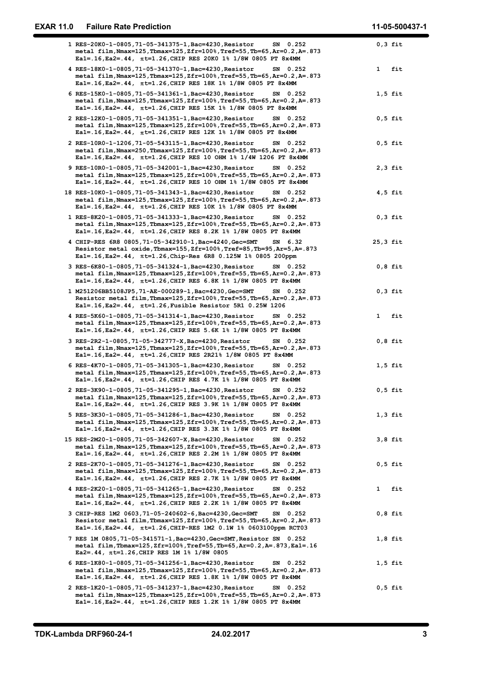| <b>EXAR 11.0</b> | <b>Failure Rate Prediction</b>                                                                                                                                                                                              | 11-05-500437-1      |
|------------------|-----------------------------------------------------------------------------------------------------------------------------------------------------------------------------------------------------------------------------|---------------------|
|                  | 1 RES-20K0-1-0805, 71-05-341375-1, Bac=4230, Resistor<br>SN 0.252                                                                                                                                                           | $0,3$ fit           |
|                  | metal film, Nmax=125, Tbmax=125, Zfr=100%, Tref=55, Tb=65, Ar=0.2, A=. 873<br>Eal=.16, Ea2=.44, πt=1.26, CHIP RES 20K0 1% 1/8W 0805 PT 8x4MM<br>4 RES-18K0-1-0805, 71-05-341370-1, Bac=4230, Resistor<br>SN 0.252           | fit<br>$\mathbf{1}$ |
|                  | metal film, Nmax=125, Tbmax=125, Zfr=100%, Tref=55, Tb=65, Ar=0.2, A=. 873<br>Eal=.16, Ea2=.44, πt=1.26, CHIP RES 18K 1% 1/8W 0805 PT 8x4MM                                                                                 |                     |
|                  | 6 RES-15K0-1-0805, 71-05-341361-1, Bac=4230, Resistor<br>SN 0.252<br>metal film, Nmax=125, Tbmax=125, Zfr=100%, Tref=55, Tb=65, Ar=0.2, A=. 873<br>Eal=.16, Ea2=.44, πt=1.26, CHIP RES 15K 1% 1/8W 0805 PT 8x4MM            | $1,5$ fit           |
|                  | 2 RES-12K0-1-0805, 71-05-341351-1, Bac=4230, Resistor<br>SN 0.252<br>metal film, Nmax=125, Tbmax=125, Zfr=100%, Tref=55, Tb=65, Ar=0.2, A=.873<br>Eal=.16, Ea2=.44, πt=1.26, CHIP RES 12K 1% 1/8W 0805 PT 8x4MM             | $0,5$ fit           |
|                  | 2 RES-10R0-1-1206, 71-05-543115-1, Bac=4230, Resistor<br>SN 0.252<br>metal film, Nmax=250, Tbmax=125, Zfr=100%, Tref=55, Tb=65, Ar=0.2, A=. 873                                                                             | $0,5$ fit           |
|                  | Eal=.16, Ea2=.44, $\pi$ t=1.26, CHIP RES 10 OHM 1% 1/4W 1206 PT 8x4MM<br>9 RES-10R0-1-0805,71-05-342001-1,Bac=4230,Resistor<br>SN 0.252<br>metal film, Nmax=125, Tbmax=125, Zfr=100%, Tref=55, Tb=65, Ar=0.2, A=. 873       | $2,3$ fit           |
|                  | Eal=.16, Ea2=.44, $\pi$ t=1.26, CHIP RES 10 OHM 1% 1/8W 0805 PT 8x4MM<br>18 RES-10K0-1-0805, 71-05-341343-1, Bac=4230, Resistor<br>SN 0.252<br>metal film, Nmax=125, Tbmax=125, Zfr=100%, Tref=55, Tb=65, Ar=0.2, A=. 873   | $4,5$ fit           |
|                  | Eal=.16, Ea2=.44, $\pi$ t=1.26, CHIP RES 10K 1% 1/8W 0805 PT 8x4MM<br>1 RES-8K20-1-0805,71-05-341333-1,Bac=4230,Resistor<br>SN 0.252<br>metal film, Nmax=125, Tbmax=125, Zfr=100%, Tref=55, Tb=65, Ar=0.2, A=.873           | $0,3$ fit           |
|                  | Eal=.16, Ea2=.44, πt=1.26, CHIP RES 8.2K 1% 1/8W 0805 PT 8x4MM<br>4 CHIP-RES 6R8 0805, 71-05-342910-1, Bac=4240, Gec=SMT<br>SN 6.32                                                                                         | $25,3$ fit          |
|                  | Resistor metal oxide, Thmax=155, Zfr=100%, Tref=85, Th=95, Ar=5, A=. 873<br>Eal=.16, Ea2=.44, πt=1.26, Chip-Res 6R8 0.125W 1% 0805 200ppm<br>3 RES-6K80-1-0805, 71-05-341324-1, Bac=4230, Resistor<br>SN 0.252              | $0,8$ fit           |
|                  | metal film, Nmax=125, Tbmax=125, Zfr=100%, Tref=55, Tb=65, Ar=0.2, A=. 873<br>Eal=.16, Ea2=.44, $\pi t$ =1.26, CHIP RES 6.8K 1% 1/8W 0805 PT 8x4MM                                                                          |                     |
|                  | 1 M251206BB5108JP5,71-AE-000289-1,Bac=4230,Gec=SMT<br>SN 0.252<br>Resistor metal film, Tbmax=125, Zfr=100%, Tref=55, Tb=65, Ar=0.2, A=. 873<br>$Ea1 = .16$ , $Ea2 = .44$ , $\pi t = 1.26$ , Fusible Resistor 5R1 0.25W 1206 | $0,3$ fit           |
|                  | 4 RES-5K60-1-0805,71-05-341314-1,Bac=4230,Resistor<br>SN 0.252<br>metal film, Nmax=125, Tbmax=125, Zfr=100%, Tref=55, Tb=65, Ar=0.2, A=. 873<br>Eal=.16, Ea2=.44, $\pi t$ =1.26, CHIP RES 5.6K 1% 1/8W 0805 PT 8x4MM        | 1 fit               |
|                  | 3 RES-2R2-1-0805, 71-05-342777-X, Bac=4230, Resistor<br>SN 0.252<br>metal film, Nmax=125, Tbmax=125, Zfr=100%, Tref=55, Tb=65, Ar=0.2, A=. 873<br>Eal=.16, Ea2=.44, πt=1.26, CHIP RES 2R21% 1/8W 0805 PT 8x4MM              | $0,8$ fit           |
|                  | 6 RES-4K70-1-0805,71-05-341305-1, Bac=4230, Resistor<br>SN 0.252<br>metal film, Nmax=125, Tbmax=125, Zfr=100%, Tref=55, Tb=65, Ar=0.2, A=. 873                                                                              | $1,5$ fit           |
|                  | Eal=.16, Ea2=.44, πt=1.26, CHIP RES 4.7K 1% 1/8W 0805 PT 8x4MM<br>2 RES-3K90-1-0805,71-05-341295-1,Bac=4230,Resistor<br>SN 0.252<br>metal film, Nmax=125, Tbmax=125, Zfr=100%, Tref=55, Tb=65, Ar=0.2, A=. 873              | $0,5$ fit           |
|                  | Eal=.16, Ea2=.44, $\pi t$ =1.26, CHIP RES 3.9K 1% 1/8W 0805 PT 8x4MM<br>5 RES-3K30-1-0805,71-05-341286-1, Bac=4230, Resistor<br>SN 0.252<br>metal film, Nmax=125, Tbmax=125, Zfr=100%, Tref=55, Tb=65, Ar=0.2, A=. 873      | $1,3$ fit           |
|                  | Eal=.16, Ea2=.44, $\pi t$ =1.26, CHIP RES 3.3K 1% 1/8W 0805 PT 8x4MM<br>15 RES-2M20-1-0805, 71-05-342607-X, Bac=4230, Resistor<br>SN 0.252                                                                                  | $3,8$ fit           |
|                  | metal film, Nmax=125, Tbmax=125, Zfr=100%, Tref=55, Tb=65, Ar=0.2, A=. 873<br>Eal=.16, Ea2=.44, $\pi t$ =1.26, CHIP RES 2.2M 1% 1/8W 0805 PT 8x4MM<br>2 RES-2K70-1-0805,71-05-341276-1,Bac=4230,Resistor<br>SN 0.252        | $0,5$ fit           |
|                  | metal film, Nmax=125, Tbmax=125, Zfr=100%, Tref=55, Tb=65, Ar=0.2, A=. 873<br>Eal=.16, Ea2=.44, $\pi$ t=1.26, CHIP RES 2.7K 1% 1/8W 0805 PT 8x4MM<br>4 RES-2K20-1-0805,71-05-341265-1, Bac=4230, Resistor<br>SN 0.252       | 1 fit               |
|                  | metal film, Nmax=125, Tbmax=125, Zfr=100%, Tref=55, Tb=65, Ar=0.2, A=. 873<br>Eal=.16, Ea2=.44, $\pi$ t=1.26, CHIP RES 2.2K 1% 1/8W 0805 PT 8x4MM                                                                           |                     |
|                  | 3 CHIP-RES 1M2 0603, 71-05-240602-6, Bac=4230, Gec=SMT<br>SN 0.252<br>Resistor metal film, Tbmax=125, Zfr=100%, Tref=55, Tb=65, Ar=0.2, A=. 873<br>Eal=.16, Ea2=.44, $\pi t$ =1.26, CHIP-RES 1M2 0.1W 1% 0603100ppm RCT03   | $0,8$ fit           |
|                  | 7 RES 1M 0805, 71-05-341571-1, Bac=4230, Gec=SMT, Resistor SN 0.252<br>metal film,Tbmax=125,Zfr=100%,Tref=55,Tb=65,Ar=0.2,A=.873,Ea1=.16<br>Ea2=.44, $\pi$ t=1.26, CHIP RES 1M 1% 1/8W 0805                                 | $1,8$ fit           |
|                  | 6 RES-1K80-1-0805, 71-05-341256-1, Bac=4230, Resistor<br>SN 0.252<br>metal film, Nmax=125, Tbmax=125, Zfr=100%, Tref=55, Tb=65, Ar=0.2, A=. 873<br>Eal=.16, Ea2=.44, $\pi$ t=1.26, CHIP RES 1.8K 1% 1/8W 0805 PT 8x4MM      | $1,5$ fit           |
|                  | 2 RES-1K20-1-0805, 71-05-341237-1, Bac=4230, Resistor<br>SN 0.252<br>metal film, Nmax=125, Tbmax=125, Zfr=100%, Tref=55, Tb=65, Ar=0.2, A=. 873<br>Eal=.16, Ea2=.44, πt=1.26, CHIP RES 1.2K 1% 1/8W 0805 PT 8x4MM           | $0,5$ fit           |
|                  |                                                                                                                                                                                                                             |                     |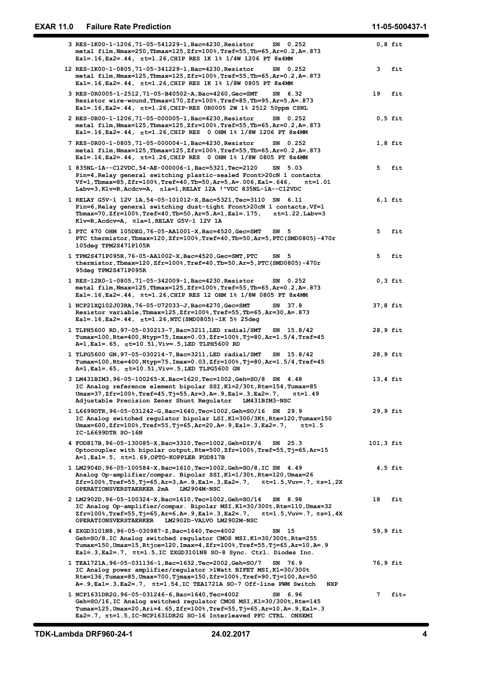| <b>EXAR 11.0</b> | <b>Failure Rate Prediction</b>                                                                                                                                                                                                                                                                                  | 11-05-500437-1          |
|------------------|-----------------------------------------------------------------------------------------------------------------------------------------------------------------------------------------------------------------------------------------------------------------------------------------------------------------|-------------------------|
|                  | 3 RES-1K00-1-1206, 71-05-541229-1, Bac=4230, Resistor<br>SN 0.252<br>metal film, Nmax=250, Tbmax=125, Zfr=100%, Tref=55, Tb=65, Ar=0.2, A=. 873<br>Ea1=.16, Ea2=.44, πt=1.26, CHIP RES 1K 1% 1/4W 1206 PT 8x4MM                                                                                                 | $0,8$ fit               |
|                  | 12 RES-1K00-1-0805, 71-05-341229-1, Bac=4230, Resistor<br>SN 0.252<br>metal film, Nmax=125, Tbmax=125, Zfr=100%, Tref=55, Tb=65, Ar=0.2, A=. 873                                                                                                                                                                | 3<br>fit                |
|                  | Eal=.16, Ea2=.44, πt=1.26, CHIP RES 1K 1% 1/8W 0805 PT 8x4MM<br>3 RES-0R0005-1-2512, 71-05-B40502-A, Bac=4260, Gec=SMT<br>SN 6.32<br>Resistor wire-wound, Tbmax=170, Zfr=100%, Tref=85, Tb=95, Ar=5, A=. 873                                                                                                    | fit<br>19               |
|                  | Eal=.16, Ea2=.44, $\pi$ t=1.26, CHIP-RES 0R0005 2W 1% 2512 50ppm CSNL<br>2 RES-0R00-1-1206,71-05-000005-1,Bac=4230,Resistor<br>SN 0.252<br>metal film, Nmax=125, Tbmax=125, Zfr=100%, Tref=55, Tb=65, Ar=0.2, A=.873                                                                                            | $0,5$ fit               |
|                  | Eal=.16, Ea2=.44, $\pi t$ =1.26, CHIP RES 0 OHM 1% 1/8W 1206 PT 8x4MM<br>7 RES-0R00-1-0805, 71-05-000004-1, Bac=4230, Resistor<br>SN 0.252<br>metal film, Nmax=125, Tbmax=125, Zfr=100%, Tref=55, Tb=65, Ar=0.2, A=. 873                                                                                        | $1,8$ fit               |
|                  | Eal=.16, Ea2=.44, $\pi$ t=1.26, CHIP RES 0 OHM 1% 1/8W 0805 PT 8x4MM<br>1 835NL-1A--C12VDC, 54-AE-000006-1, Bac=5321, Tec=2120<br>SN 5.03                                                                                                                                                                       | 5<br>fit                |
|                  | Pin=4, Relay general switching plastic-sealed Fcont>20cN 1 contacts<br>Vf=1, Tbmax=85, Zfr=100%, Tref=40, Tb=50, Ar=5, A=. 006, Ea1=. 646,<br>$\pi$ t=1.01<br>Labv=3, Klv=R, Acdcv=A, $\pi$ la=1, RELAY 12A ! "VDC 835NL-1A--C12VDC                                                                             |                         |
|                  | 1 RELAY G5V-1 12V 1A, 54-05-101012-X, Bac=5321, Tec=3110 SN 6.11<br>Pin=6, Relay general switching dust-tight Fcont>20cN 1 contacts, Vf=1<br>Tbmax=70, Zfr=100%, Tref=40, Tb=50, Ar=5, A=1, Ea1=. 175,<br>$\pi$ t=1.22, Labv=3<br>Klv=R, Acdcv=A, $\pi$ la=1, RELAY G5V-1 12V 1A                                | $6,1$ fit               |
|                  | 1 PTC 470 OHM 105DEG, 76-05-AA1001-X, Bac=4520, Gec=SMT<br>SN <sub>5</sub><br>PTC thermistor, Tbmax=120, Zfr=100%, Tref=40, Tb=50, Ar=5, PTC (SMD0805)-470r<br>105deg TPM2S471P105R                                                                                                                             | 5<br>fit                |
|                  | 1 TPM2S471P095R, 76-05-AA1002-X, Bac=4520, Gec=SMT, PTC<br>SN <sub>5</sub><br>thermistor, Tbmax=120, Zfr=100%, Tref=40, Tb=50, Ar=5, PTC(SMD0805)-470r<br>95deg TPM2S471P095R                                                                                                                                   | 5<br>fit                |
|                  | 1 RES-12R0-1-0805, 71-05-342009-1, Bac=4230, Resistor<br>SN 0.252<br>metal film, Nmax=125, Tbmax=125, Zfr=100%, Tref=55, Tb=65, Ar=0.2, A=. 873<br>Eal=.16, Ea2=.44, $\pi$ t=1.26, CHIP RES 12 OHM 1% 1/8W 0805 PT 8x4MM                                                                                        | $0,3$ fit               |
|                  | 1 NCP21XQ102J03RA, 76-05-U72033-J, Bac=4270, Gec=SMT<br>SN 37.8<br>Resistor variable, Tbmax=125, Zfr=100%, Tref=55, Tb=65, Ar=30, A=. 873<br>Ea1 = . 16, Ea2 = . 44, $\pi t$ = 1.26, NTC (SMD0805) -1K 5% 25deg                                                                                                 | 37,8 fit                |
|                  | 1 TLPH5600 RD, 97-05-030213-7, Bac=3211, LED radial/SMT<br>SN 15.8/42<br>Tumax=100, Rte=400, Ntyp=75, Imax=0.03, Zfr=100%, Tj=80, Ar=1.5/4, Tref=45<br>$A=1$ , Ea1=.65, $\pi t=10.51$ , Viv=.5, LED TLPH5600 RD                                                                                                 | 28,9 fit                |
|                  | 1 TLPG5600 GN, 97-05-030214-7, Bac=3211, LED radial/SMT<br>SN 15.8/42<br>Tumax=100,Rte=400,Ntyp=75,Imax=0.03,Zfr=100%,Tj=80,Ar=1.5/4,Tref=45<br>A=1, Ea1=.65, πt=10.51, Viv=.5, LED TLPG5600 GN                                                                                                                 | 28,9 fit                |
|                  | 3 LM431BIM3, 96-05-100265-X, Bac=1620, Tec=1002, Geh=SO/8 SN 4.48<br>IC Analog reference element bipolar SSI, K1=2/30t, Rte=154, Tumax=85<br>$Umax=37$ , $Zfr=100$ %, $Tref=45$ , $Tj=55$ , $Ar=3$ , $A=.9$ , $Eal=.3$ , $Ea2=.7$ ,<br>$\pi$ t=1.49<br>Adjustable Precision Zener Shunt Regulator LM431BIM3-NSC | $13,4$ fit              |
|                  | 1 L6699DTR, 96-05-031242-G, Bac=1640, Tec=1002, Geh=SO/16 SN 29.9<br>IC Analog switched regulator bipolar LSI, K1=300/3Kt, Rte=120, Tumax=150<br>Umax=600, Zfr=100%, Tref=55, Tj=65, Ar=20, A=. 9, Ea1=. 3, Ea2=. 7,<br>$\pi$ t=1.5<br>IC-L6699DTR SO-16N                                                       | 29,9 fit                |
|                  | 4 FOD817B, 96-05-130085-X, Bac=3310, Tec=1002, Geh=DIP/6 SN 25.3<br>Optocoupler with bipolar output, Rte=500, Zfr=100%, Tref=55, Tj=65, Ar=15<br>$A=1$ , Ea1=.5, $\pi t=1.69$ , OPTO-KOPPLER FOD817B                                                                                                            | 101,3 fit               |
|                  | 1 LM2904D, 96-05-100584-X, Bac=1610, Tec=1002, Geh=SO/8, IC SN 4.49<br>Analog Op-amplifier/compar. Bipolar SSI, K1=1/30t, Rte=120, Umax=26<br>$zfr=100$ %, Tref=55, Tj=65, Ar=3, A=. 9, Ea1=. 3, Ea2=. 7, $\pi t=1.5$ , Vuv=. 7, $\pi s=1$ , 2X<br>OPERATIONSVERSTAERKER 2mA LM2904M-NSC                        | $4,5$ fit               |
|                  | 2 LM2902D, 96-05-100324-X, Bac=1610, Tec=1002, Geh=SO/14 SN 8.98<br>IC Analog Op-amplifier/compar. Bipolar MSI, K1=30/300t, Rte=110, Umax=32<br>Zfr=100%,Tref=55,Tj=65,Ar=6,A=.9,Ea1=.3,Ea2=.7, πt=1.5,Vuv=.7, πs=1,4X<br>OPERATIONSVERSTAERKER LM2902D-VALVO LM2902M-NSC                                       | 18<br>fit               |
|                  | 4 ZXGD3101N8, 96-05-030987-Z, Bac=1640, Tec=4002<br>SN 15<br>Geh=SO/8, IC Analog switched regulator CMOS MSI, K1=30/300t, Rte=255<br>Tumax=150, Umax=15, Rtjce=120, Imax=4, Zfr=100%, Tref=55, Tj=65, Ar=10, A=. 9<br>Eal=.3, Ea2=.7, $\pi$ t=1.5, IC ZXGD3101N8 SO-8 Sync. Ctrl. Diodes Inc.                   | 59,9 fit                |
|                  | 1 TEA1721A, 96-05-031136-1, Bac=1632, Tec=2002, Geh=SO/7 SN 76.9<br>IC Analog power amplifier/regulator >1Watt BIFET MSI, K1=30/300t<br>Rte=136, Tumax=85, Umax=700, Tjmax=150, Zfr=100%, Tref=90, Tj=100, Ar=50<br>A=. 9, Ea1=. 3, Ea2=. 7, $\pi t = 1.54$ , IC TEA1721A SO-7 Off-line PWM Switch<br>NXP       | 76,9 fit                |
|                  | 1 NCP1631DR2G, 96-05-031246-6, Bac=1640, Tec=4002<br>SN 6.96<br>Geh=SO/16, IC Analog switched regulator CMOS MSI, K1=30/300t, Rte=145<br>Tumax=125, Umax=20, Ari=4.65, Zfr=100%, Tref=55, Tj=65, Ar=10, A=. 9, Ea1=.3<br>Ea2=.7, $\pi$ t=1.5, IC-NCP1631DR2G SO-16 Interleaved PFC CTRL. ONSEMI                 | $7\phantom{.0}$<br>fit« |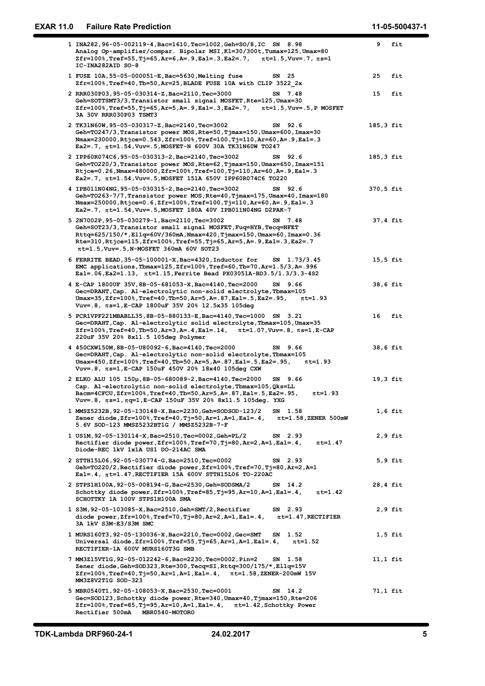| <b>EXAR 11.0</b> | <b>Failure Rate Prediction</b>                                                                                                                                                                                                                                                                                                    |    | 11-05-500437-1       |
|------------------|-----------------------------------------------------------------------------------------------------------------------------------------------------------------------------------------------------------------------------------------------------------------------------------------------------------------------------------|----|----------------------|
|                  | 1 INA282, 96-05-002119-4, Bac=1610, Tec=1002, Geh=SO/8, IC SN 8.98<br>Analog Op-amplifier/compar. Bipolar MSI, K1=30/300t, Tumax=125, Umax=80<br>Zfr=100%, Tref=55, Tj=65, Ar=6, A=. 9, Ea1=. 3, Ea2=. 7, $\pi t=1.5$ , Vuv=. 7, $\pi s=1$                                                                                        |    | 9 fit                |
|                  | IC-INA282AID SO-8<br>1 FUSE 10A, 55-05-000051-E, Bac=5630, Melting fuse<br>SN 25                                                                                                                                                                                                                                                  | 25 | fit                  |
|                  | Zfr=100%, Tref=40, Tb=50, Ar=25, BLADE FUSE 10A with CLIP 3522_2x<br>2 RRR030P03, 95-05-030314-Z, Bac=2110, Tec=3000<br>SN 7.48<br>Geh=SOTTSMT3/3, Transistor small signal MOSFET, Rte=125, Umax=30<br>Zfr=100%, Tref=55, Tj=65, Ar=5, A=. 9, Ea1=. 3, Ea2=. 7,<br>$\pi$ t=1.5, Vuv=.5, P MOSFET<br>3A 30V RRR030P03 TSMT3        | 15 | fit                  |
|                  | 2 TK31N60W, 95-05-030317-Z, Bac=2140, Tec=3002<br>SN 92.6<br>Geh=T0247/3, Transistor power MOS, Rte=50, Tjmax=150, Umax=600, Imax=30<br>Nmax=230000, Rtjce=0.543, Zfr=100%, Tref=100, Tj=110, Ar=60, A=. 9, Ea1=.3<br>Ea2=.7, $\pi$ t=1.54, Vuv=.5, MOSFET-N 600V 30A TK31N60W TO247                                              |    | 185,3 fit            |
|                  | 2 IPP60R074C6, 95-05-030313-2, Bac=2140, Tec=3002<br>SN 92.6<br>Geh=TO220/3, Transistor power MOS, Rte=62, Tjmax=150, Umax=650, Imax=151<br>Rtjce=0.26, Nmax=480000, Zfr=100%, Tref=100, Tj=110, Ar=60, A=. 9, Ea1=. 3<br>Ea2=.7, $\pi$ t=1.54, Vuv=.5, MOSFET 151A 650V IPP60R074C6 TO220                                        |    | 185,3 fit            |
|                  | 4 IPB011N04NG, 95-05-030315-2, Bac=2140, Tec=3002<br>SN 92.6<br>Geh=TO263-7/7, Transistor power MOS, Rte=40, Tjmax=175, Umax=40, Imax=180<br>Nmax=250000, Rtjce=0.6, Zfr=100%, Tref=100, Tj=110, Ar=60, A=. 9, Ea1=.3<br>Ea2=.7, $\pi$ t=1.54, Vuv=.5, MOSFET 180A 40V IPB011N04NG D2PAK-7                                        |    | 370,5 fit            |
|                  | 5 2N7002P, 95-05-030279-1, Bac=2110, Tec=3002<br>SN 7.48<br>Geh=SOT23/3, Transistor small signal MOSFET, Fuq=HYB, Tecq=NFET<br>Rttq=625/150/*,El1q=60V/360mA,Nmax=420,Tjmax=150,Umax=60,Imax=0.36<br>Rte=310, Rtjce=115, Zfr=100%, Tref=55, Tj=65, Ar=5, A=. 9, Ea1=. 3, Ea2=. 7<br>$\pi$ t=1.5, Vuv=.5, N-MOSFET 360mA 60V SOT23 |    | 37,4 fit             |
|                  | 6 FERRITE BEAD, 35-05-100001-X, Bac=4320, Inductor for<br>SN 1.73/3.45<br>EMC applications, Tbmax=125, Zfr=100%, Tref=60, Tb=70, Ar=1.5/3, A=. 996<br>Eal=.06, Ea2=1.13, πt=1.15, Ferrite Bead PX03051A-BD3.5/1.3/3.3-4S2                                                                                                         |    | $15,5$ fit           |
|                  | 4 E-CAP 1800UF 35V, 8B-05-681053-X, Bac=4140, Tec=2000<br>SN 9.66<br>Gec=DRAHT, Cap. Al-electrolytic non-solid electrolyte, Tbmax=105<br>Umax=35, Zfr=100%, Tref=40, Tb=50, Ar=5, A=.87, Ea1=.5, Ea2=.95, $\pi t=1.93$<br>Vuv=.8, πs=1, E-CAP 1800uF 35V 20% 12.5x35 105deg                                                       |    | 38,6 fit             |
|                  | 5 PCR1VPF221MBABLL35, 8B-05-880133-E, Bac=4140, Tec=1000 SN 3.21<br>Gec=DRAHT, Cap. Al-electrolytic solid electrolyte, Tbmax=105, Umax=35<br>$zfr=100$ %, Tref=40, Tb=50, Ar=3, A=.4, Ea1=.14, $\pi t=1.07$ , Vuv=.8, $\pi s=1$ , E-CAP<br>220uF 35V 20% 8x11.5 105deg Polymer                                                    | 16 | fit                  |
|                  | 4 450CXW150M, 8B-05-U80092-6, Bac=4140, Tec=2000<br>SN 9.66<br>Gec=DRAHT, Cap. Al-electrolytic non-solid electrolyte, Tbmax=105<br>Umax=450, Zfr=100%, Tref=40, Tb=50, Ar=5, A=. 87, Ea1=. 5, Ea2=. 95,<br>$\pi$ t=1.93<br>Vuv=.8, $\pi$ s=1, E-CAP 150uF 450V 20% 18x40 105deg CXW                                               |    | 38,6 fit             |
|                  | 2 ELKO ALU 105 150µ, 8B-05-680089-2, Bac=4140, Tec=2000<br>SN 9.66<br>Cap. Al-electrolytic non-solid electrolyte, Tbmax=105, Qks=LL<br>Bacm=4CFCU, Zfr=100%, Tref=40, Tb=50, Ar=5, A=.87, Ea1=.5, Ea2=.95,<br>$\pi$ t=1.93<br>Vuv=.8, $\pi$ s=1, $\pi$ q=1,E-CAP 150uF 35V 20% 8x11.5 105deg. YXG                                 |    | $19,3$ fit           |
|                  | 1 MMSZ5232B, 92-05-130148-X, Bac=2230, Geh=SODSOD-123/2<br>SN 1.58<br>Zener diode, $Zfr=100\%$ , Tref=40, Tj=50, Ar=1, A=1, Ea1=.4,<br>$\pi$ t=1.58,ZENER 500mW<br>5.6V SOD-123 MMSZ5232BT1G / MMSZ5232B-7-F                                                                                                                      |    | $1,6$ fit            |
|                  | 1 US1M, 92-05-130114-X, Bac=2510, Tec=0002, Geh=PL/2<br>SN 2.93<br>Rectifier diode power, Zfr=100%, Tref=70, Tj=80, Ar=2, A=1, Ea1=.4,<br>$\pi$ t=1.47<br>Diode-REC 1kV 1x1A US1 DO-214AC SMA                                                                                                                                     |    | $2,9$ fit            |
|                  | 2 STTH15L06, 92-05-030774-G, Bac=2510, Tec=0002<br>SN 2.93<br>Geh=TO220/2, Rectifier diode power, Zfr=100%, Tref=70, Tj=80, Ar=2, A=1<br>$Ea1 = .4$ , $\pi t = 1.47$ , RECTIFIER 15A 600V STTH15L06 TO-220AC                                                                                                                      |    | $5,9$ fit            |
|                  | 2 STPS1H100A, 92-05-008194-G, Bac=2530, Geh=SODSMA/2<br>SN 14.2<br>Schottky diode power, $Zfr=100$ %, Tref=85, Tj=95, Ar=10, A=1, Ea1=.4,<br>$\pi$ t=1.42<br>SCHOTTKY 1A 100V STPS1H100A SMA                                                                                                                                      |    | 28,4 fit             |
|                  | 1 S3M, 92-05-103085-X, Bac=2510, Geh=SMT/2, Rectifier<br>SN 2.93<br>diode power, $Zfr=100\%$ , $Tref=70$ , $Tj=80$ , $Ar=2$ , $A=1$ , $Ea1=.4$ ,<br>$\pi$ t=1.47, RECTIFIER<br>3A 1kV S3M-E3/S3M SMC<br>1 MURS160T3, 92-05-130036-X, Bac=2210, Tec=0002, Gec=SMT<br>SN 1.52                                                       |    | 2,9 fit<br>$1,5$ fit |
|                  | Universal diode, $zfr=100\%$ , $rref=55$ , $rj=65$ , $Ar=1$ , $A=1$ , $Ea1=.4$ ,<br>$\pi$ t=1.52<br>RECTIFIER-1A 600V MURS160T3G SMB<br>7 MM3Z15VT1G, 92-05-012242-6, Bac=2230, Tec=0002, Pin=2<br>SN 1.58                                                                                                                        |    | $11,1$ fit           |
|                  | Zener diode, Geh=SOD323, Rte=300, Tecq=SI, Rttq=300/175/*, El1q=15V<br>$zfr=100\%$ , Tref=40, Tj=50, Ar=1, A=1, Ea1=.4, $\pi$ t=1.58, ZENER-200mW 15V<br>MM3Z8V2T1G SOD-323                                                                                                                                                       |    |                      |
|                  | 5 MBR0540T1, 92-05-108053-X, Bac=2530, Tec=0001<br>SN 14.2<br>Gec=SOD123, Schottky diode power, Rte=340, Umax=40, Tjmax=150, Rte=206<br>$zfr=100$ %, Tref=85, Tj=95, Ar=10, A=1, Ea1=.4, $\pi t=1.42$ , Schottky Power<br>Rectifier 500mA MBR0540-MOTORO                                                                          |    | 71,1 fit             |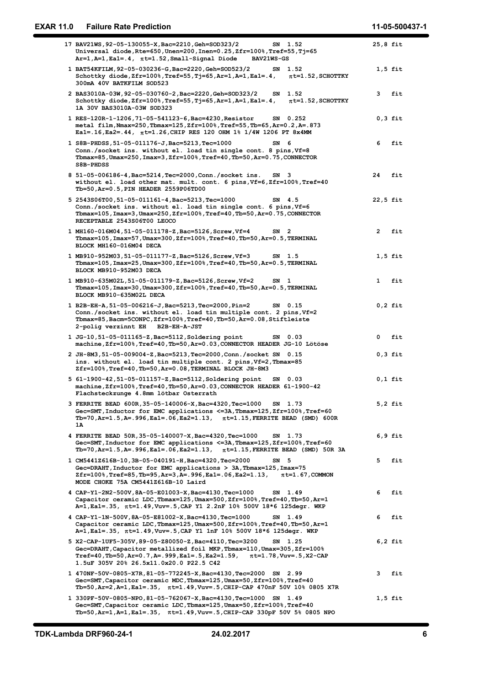| <b>EXAR 11.0</b> | <b>Failure Rate Prediction</b>                                                                                                                                                                                                                                                        | 11-05-500437-1      |
|------------------|---------------------------------------------------------------------------------------------------------------------------------------------------------------------------------------------------------------------------------------------------------------------------------------|---------------------|
|                  | 17 BAV21WS, 92-05-130055-X, Bac=2210, Geh=SOD323/2<br>SN 1.52<br>Universal $diode$ , Rte=650, Unen=200, Inen=0.25, Zfr=100%, Tref=55, Tj=65                                                                                                                                           | $25,8$ fit          |
|                  | $Ar=1$ , $A=1$ , $Ea1=.4$ , $\pi t=1.52$ , $Small-Signal Diode$<br><b>BAV21WS-GS</b><br>1 BAT54KFILM, 92-05-030236-G, Bac=2220, Geh=SOD523/2<br>SN 1.52<br>Schottky diode, $Zfr=100$ %, Tref=55, Tj=65, Ar=1, A=1, Ea1=.4,<br>$\pi$ t=1.52, SCHOTTKY                                  | $1,5$ fit           |
|                  | 300mA 40V BATKFILM SOD523<br>2 BAS3010A-03W, 92-05-030760-2, Bac=2220, Geh=SOD323/2<br>SN 1.52<br>Schottky diode, Zfr=100%, Tref=55, Tj=65, Ar=1, A=1, Ea1=.4,<br>$\pi$ t=1.52, SCHOTTKY                                                                                              | 3<br>fit            |
|                  | 1A 30V BAS3010A-03W SOD323<br>1 RES-120R-1-1206, 71-05-541123-6, Bac=4230, Resistor<br>SN 0.252<br>metal film, Nmax=250, Tbmax=125, Zfr=100%, Tref=55, Tb=65, Ar=0.2, A=.873                                                                                                          | $0,3$ fit           |
|                  | Eal=.16, Ea2=.44, $\pi$ t=1.26, CHIP RES 120 OHM 1% 1/4W 1206 PT 8x4MM<br>1 S8B-PHDSS, 51-05-011176-J, Bac=5213, Tec=1000<br>SN 6<br>Conn./socket ins. without el. load tin single cont. 8 pins, Vf=8<br>Tbmax=85, Umax=250, Imax=3, Zfr=100%, Tref=40, Tb=50, Ar=0.75, CONNECTOR     | 6<br>fit            |
|                  | S8B-PHDSS<br>8 51-05-006186-4, Bac=5214, Tec=2000, Conn. / socket ins.<br>SN <sub>3</sub><br>without el. load other mat. mult. cont. 6 pins, Vf=6, Zfr=100%, Tref=40                                                                                                                  | 24<br>fit           |
|                  | Tb=50, Ar=0.5, PIN HEADER 2559P06TD00<br>5 2543S06T00, 51-05-011161-4, Bac=5213, Tec=1000<br>$SN$ 4.5<br>Conn./socket ins. without el. load tin single cont. 6 pins, Vf=6<br>Tbmax=105, Imax=3, Umax=250, Zfr=100%, Tref=40, Tb=50, Ar=0.75, CONNECTOR<br>RECEPTABLE 2543S06T00 LEOCO | $22,5$ fit          |
|                  | 1 MH160-016M04, 51-05-011178-Z, Bac=5126, Screw, Vf=4<br>$SN$ 2<br>Tbmax=105, Imax=57, Umax=300, Zfr=100%, Tref=40, Tb=50, Ar=0.5, TERMINAL<br>BLOCK MH160-016M04 DECA                                                                                                                | $\mathbf{2}$<br>fit |
|                  | 1 MB910-952M03, 51-05-011177-Z, Bac=5126, Screw, Vf=3<br>SN 1.5<br>Tbmax=105, Imax=25, Umax=300, Zfr=100%, Tref=40, Tb=50, Ar=0.5, TERMINAL<br>BLOCK MB910-952M03 DECA                                                                                                                | $1,5$ fit           |
|                  | 1 MB910-635M02L, 51-05-011179-Z, Bac=5126, Screw, Vf=2<br>SN <sub>1</sub><br>Tbmax=105, Imax=30, Umax=300, Zfr=100%, Tref=40, Tb=50, Ar=0.5, TERMINAL<br>BLOCK MB910-635M02L DECA                                                                                                     | $\mathbf{1}$<br>fit |
|                  | 1 B2B-EH-A, 51-05-006216-J, Bac=5213, Tec=2000, Pin=2<br>SN 0.15<br>Conn./socket ins. without el. load tin multiple cont. 2 pins, Vf=2<br>Tbmax=85, Bacm=5CONPC, Zfr=100%, Tref=40, Tb=50, Ar=0.08, Stiftleiste<br>2-polig verzinnt EH B2B-EH-A-JST                                   | $0,2$ fit           |
|                  | 1 JG-10, 51-05-011165-Z, Bac=5112, Soldering point<br>SN 0.03<br>machine,Zfr=100%,Tref=40,Tb=50,Ar=0.03,CONNECTOR HEADER JG-10 Lötöse                                                                                                                                                 | $\mathbf 0$<br>fit  |
|                  | 2 JH-8M3, 51-05-009004-Z, Bac=5213, Tec=2000, Conn. / socket SN 0.15<br>ins. without el. load tin multiple cont. 2 pins, Vf=2, Tbmax=85<br>Zfr=100%, Tref=40, Tb=50, Ar=0.08, TERMINAL BLOCK JH-8M3                                                                                   | $0,3$ fit           |
|                  | 5 61-1900-42, 51-05-011157-Z, Bac=5112, Soldering point SN 0.03<br>machine, Zfr=100%, Tref=40, Tb=50, Ar=0.03, CONNECTOR HEADER 61-1900-42<br>Flachsteckzunge 4.8mm lötbar Osterrath                                                                                                  | $0,1$ fit           |
|                  | 3 FERRITE BEAD 600R, 35-05-140006-X, Bac=4320, Tec=1000 SN 1.73<br>Gec=SMT, Inductor for EMC applications <=3A, Tbmax=125, Zfr=100%, Tref=60<br>Tb=70, Ar=1.5, A=. 996, Ea1=. 06, Ea2=1.13, $\pi t$ =1.15, FERRITE BEAD (SMD) 600R<br>1A                                              | $5,2$ fit           |
|                  | 4 FERRITE BEAD 50R, 35-05-140007-X, Bac=4320, Tec=1000<br>SN 1.73<br>Gec=SMT, Inductor for EMC applications <=3A, Tbmax=125, Zfr=100%, Tref=60<br>Tb=70, Ar=1.5, A=. 996, Ea1=. 06, Ea2=1.13, $\pi$ t=1.15, FERRITE BEAD (SMD) 50R 3A                                                 | $6,9$ fit           |
|                  | 1 CM5441Z616B-10, 3B-05-040191-H, Bac=4320, Tec=2000<br>SN <sub>5</sub><br>Gec=DRAHT, Inductor for EMC applications > 3A, Tbmax=125, Imax=75<br>Zfr=100%, Tref=85, Tb=95, Ar=3, A=. 996, Ea1=. 06, Ea2=1.13, πt=1.67, COMMON<br>MODE CHOKE 75A CM5441Z616B-10 Laird                   | 5 fit               |
|                  | 4 CAP-Y1-2N2-500V, 8A-05-E01003-X, Bac=4130, Tec=1000<br>SN 1.49<br>Capacitor ceramic LDC, Tbmax=125, Umax=500, Zfr=100%, Tref=40, Tb=50, Ar=1<br>A=1, Ea1=.35, $\pi t=1.49$ , Vuv=.5, CAP Y1 2.2nF 10% 500V 18*6 125degr. WKP                                                        | 6<br>fit            |
|                  | 4 CAP-Y1-1N-500V, 8A-05-E81002-X, Bac=4130, Tec=1000<br>SN 1.49<br>Capacitor ceramic LDC, Tbmax=125, Umax=500, Zfr=100%, Tref=40, Tb=50, Ar=1<br>A=1, Ea1=.35, $\pi t$ =1.49, Vuv=.5, CAP Y1 1nF 10% 500V 18*6 125degr. WKP                                                           | 6<br>fit            |
|                  | 5 X2-CAP-1UF5-305V, 89-05-Z80050-Z, Bac=4110, Tec=3200<br>SN 1.25<br>Gec=DRAHT, Capacitor metallized foil MKP, Tbmax=110, Umax=305, Zfr=100%<br>Tref=40, Tb=50, Ar=0.7, A=. 999, Ea1=.5, Ea2=1.59, $\pi t = 1.78$ , Vuv=.5, X2-CAP<br>1.5uF 305V 20% 26.5x11.0x20.0 P22.5 C42         | $6,2$ fit           |
|                  | 1 470NF-50V-0805-X7R, 81-05-772245-X, Bac=4130, Tec=2000 SN 2.99<br>Gec=SMT, Capacitor ceramic MDC, Tbmax=125, Umax=50, Zfr=100%, Tref=40<br>Tb=50, Ar=2, A=1, Ea1=.35, $\pi t$ =1.49, Vuv=.5, CHIP-CAP 470nF 50V 10% 0805 X7R                                                        | 3 fit               |
|                  | 1 330PF-50V-0805-NPO, 81-05-762067-X, Bac=4130, Tec=1000 SN 1.49<br>Gec=SMT, Capacitor ceramic LDC, Tbmax=125, Umax=50, Zfr=100%, Tref=40<br>Tb=50, Ar=1, A=1, Ea1=.35, $\pi t=1.49$ , Vuv=.5, CHIP-CAP 330pF 50V 5% 0805 NPO                                                         | $1,5$ fit           |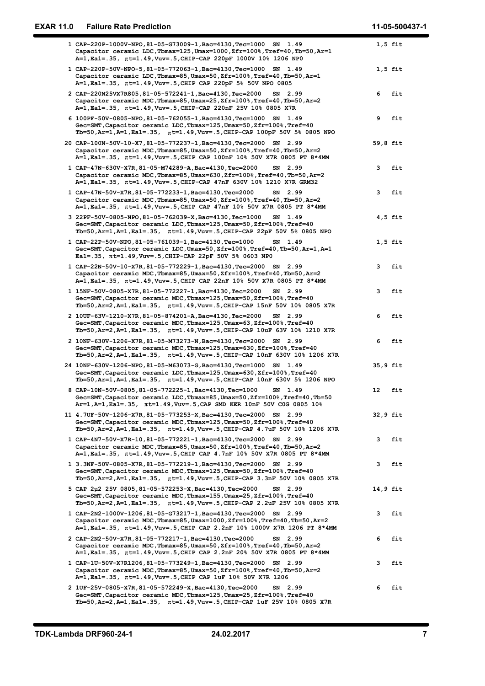| <b>EXAR 11.0</b> | <b>Failure Rate Prediction</b>                                                                                                                                                                                                       | 11-05-500437-1 |
|------------------|--------------------------------------------------------------------------------------------------------------------------------------------------------------------------------------------------------------------------------------|----------------|
|                  | 1 CAP-220P-1000V-NPO, 81-05-G73009-1, Bac=4130, Tec=1000 SN 1.49<br>Capacitor ceramic LDC, Tbmax=125, Umax=1000, Zfr=100%, Tref=40, Tb=50, Ar=1                                                                                      | $1,5$ fit      |
|                  | A=1, Ea1=.35, πt=1.49, Vuv=.5, CHIP-CAP 220pF 1000V 10% 1206 NP0<br>1 CAP-220P-50V-NPO-5,81-05-772063-1, Bac=4130, Tec=1000 SN 1.49<br>Capacitor ceramic LDC, Tbmax=85, Umax=50, Zfr=100%, Tref=40, Tb=50, Ar=1                      | $1,5$ fit      |
|                  | A=1, Ea1=.35, $\pi t=1.49$ , Vuv=.5, CHIP CAP 220pF 5% 50V NPO 0805<br>2 CAP-220N25VX7R805,81-05-572241-1, Bac=4130, Tec=2000 SN 2.99<br>Capacitor ceramic MDC, Tbmax=85, Umax=25, Zfr=100%, Tref=40, Tb=50, Ar=2                    | 6<br>fit       |
|                  | A=1, Ea1=.35, $\pi t$ =1.49, Vuv=.5, CHIP-CAP 220nF 25V 10% 0805 X7R<br>6 100PF-50V-0805-NPO, 81-05-762055-1, Bac=4130, Tec=1000 SN 1.49<br>Gec=SMT, Capacitor ceramic LDC, Tbmax=125, Umax=50, Zfr=100%, Tref=40                    | 9<br>fit       |
|                  | Tb=50, Ar=1, A=1, Ea1=.35, $\pi$ t=1.49, Vuv=.5, CHIP-CAP 100pF 50V 5% 0805 NPO<br>20 CAP-100N-50V-10-X7, 81-05-772237-1, Bac=4130, Tec=2000 SN 2.99<br>Capacitor ceramic MDC, Tbmax=85, Umax=50, Zfr=100%, Tref=40, Tb=50, Ar=2     | 59,8 fit       |
|                  | A=1, Ea1=.35, $\pi$ t=1.49, Vuv=.5, CHIP CAP 100nF 10% 50V X7R 0805 PT 8*4MM<br>1 CAP-47N-630V-X7R, 81-05-M74289-A, Bac=4130, Tec=2000<br>SN 2.99<br>Capacitor ceramic MDC, Tbmax=85, Umax=630, Zfr=100%, Tref=40, Tb=50, Ar=2       | fit<br>3       |
|                  | A=1, Ea1=.35, $\pi t$ =1.49, Vuv=.5, CHIP-CAP 47nF 630V 10% 1210 X7R GRM32<br>1 CAP-47N-50V-X7R, 81-05-772233-1, Bac=4130, Tec=2000<br>SN 2.99<br>Capacitor ceramic MDC, Tbmax=85, Umax=50, Zfr=100%, Tref=40, Tb=50, Ar=2           | 3<br>fit       |
|                  | A=1, Ea1=.35, $\pi t = 1.49$ , Vuv=.5, CHIP CAP 47nF 10% 50V X7R 0805 PT 8*4MM<br>3 22PF-50V-0805-NPO, 81-05-762039-X, Bac=4130, Tec=1000 SN 1.49<br>Gec=SMT, Capacitor ceramic LDC, Tbmax=125, Umax=50, Zfr=100%, Tref=40           | $4,5$ fit      |
|                  | Tb=50, Ar=1, A=1, Ea1=.35, nt=1.49, Vuv=.5, CHIP-CAP 22pF 50V 5% 0805 NPO<br>1 CAP-22P-50V-NPO, 81-05-761039-1, Bac=4130, Tec=1000<br>SN 1.49<br>Gec=SMT, Capacitor ceramic LDC, Umax=50, Zfr=100%, Tref=40, Tb=50, Ar=1, A=1        | $1,5$ fit      |
|                  | Ea1=.35, πt=1.49, Vuv=.5, CHIP-CAP 22pF 50V 5% 0603 NP0<br>1 CAP-22N-50V-10-X7R, 81-05-772229-1, Bac=4130, Tec=2000 SN 2.99<br>Capacitor ceramic MDC, Tbmax=85, Umax=50, Zfr=100%, Tref=40, Tb=50, Ar=2                              | 3<br>fit       |
|                  | A=1, Ea1=.35, $\pi t=1.49$ , Vuv=.5, CHIP CAP 22nF 10% 50V X7R 0805 PT 8*4MM<br>1 15NF-50V-0805-X7R, 81-05-772227-1, Bac=4130, Tec=2000<br>SN 2.99<br>Gec=SMT, Capacitor ceramic MDC, Tbmax=125, Umax=50, Zfr=100%, Tref=40          | fit<br>3       |
|                  | Tb=50, Ar=2, A=1, Ea1=.35, $\pi t$ =1.49, Vuv=.5, CHIP-CAP 15nF 50V 10% 0805 X7R<br>2 10UF-63V-1210-X7R, 81-05-874201-A, Bac=4130, Tec=2000 SN 2.99<br>Gec=SMT, Capacitor ceramic MDC, Tbmax=125, Umax=63, Zfr=100%, Tref=40         | 6<br>fit       |
|                  | Tb=50, Ar=2, A=1, Ea1=.35, $\pi t$ =1.49, Vuv=.5, CHIP-CAP 10uF 63V 10% 1210 X7R<br>2 10NF-630V-1206-X7R, 81-05-M73273-N, Bac=4130, Tec=2000 SN 2.99<br>Gec=SMT, Capacitor ceramic MDC, Tbmax=125, Umax=630, Zfr=100%, Tref=40       | 6<br>fit       |
|                  | Tb=50, Ar=2, A=1, Ea1=.35, $\pi$ t=1.49, Vuv=.5, CHIP-CAP 10nF 630V 10% 1206 X7R<br>24 10NF-630V-1206-NPO, 81-05-M63073-G, Bac=4130, Tec=1000 SN 1.49<br>Gec=SMT, Capacitor ceramic LDC, Tbmax=125, Umax=630, Zfr=100%, Tref=40      | 35,9 fit       |
|                  | Tb=50, Ar=1, A=1, Ea1=.35, $\pi t$ =1.49, Vuv=.5, CHIP-CAP 10nF 630V 5% 1206 NPO<br>8 CAP-10N-50V-0805, 81-05-772225-1, Bac=4130, Tec=1000<br>SN 1.49<br>Gec=SMT, Capacitor ceramic LDC, Tbmax=85, Umax=50, Zfr=100%, Tref=40, Tb=50 | 12 fit         |
|                  | Ar=1, A=1, Ea1=.35, $\pi$ t=1.49, Vuv=.5, CAP SMD KER 10nF 50V COG 0805 10%<br>11 4.7UF-50V-1206-X7R, 81-05-773253-X, Bac=4130, Tec=2000 SN 2.99<br>Gec=SMT, Capacitor ceramic MDC, Tbmax=125, Umax=50, Zfr=100%, Tref=40            | 32,9 fit       |
|                  | Tb=50, Ar=2, A=1, Ea1=.35, $\pi t$ =1.49, Vuv=.5, CHIP-CAP 4.7uF 50V 10% 1206 X7R<br>1 CAP-4N7-50V-X7R-10,81-05-772221-1,Bac=4130,Tec=2000 SN 2.99<br>Capacitor ceramic MDC, Tbmax=85, Umax=50, Zfr=100%, Tref=40, Tb=50, Ar=2       | 3<br>fit       |
|                  | A=1, Ea1=.35, $\pi$ t=1.49, Vuv=.5, CHIP CAP 4.7nF 10% 50V X7R 0805 PT 8*4MM<br>1 3.3NF-50V-0805-X7R, 81-05-772219-1, Bac=4130, Tec=2000 SN 2.99<br>Gec=SMT, Capacitor ceramic MDC, Tbmax=125, Umax=50, Zfr=100%, Tref=40            | fit<br>3       |
|                  | Tb=50, Ar=2, A=1, Ea1=.35, $\pi t$ =1.49, Vuv=.5, CHIP-CAP 3.3nF 50V 10% 0805 X7R<br>5 CAP 2µ2 25V 0805,81-05-572253-X,Bac=4130,Tec=2000<br>SN 2.99<br>Gec=SMT, Capacitor ceramic MDC, Tbmax=155, Umax=25, Zfr=100%, Tref=40         | 14,9 fit       |
|                  | Tb=50, Ar=2, A=1, Ea1=.35, $\pi$ t=1.49, Vuv=.5, CHIP-CAP 2.2uF 25V 10% 0805 X7R<br>1 CAP-2N2-1000V-1206,81-05-G73217-1, Bac=4130, Tec=2000 SN 2.99<br>Capacitor ceramic MDC, Tbmax=85, Umax=1000, Zfr=100%, Tref=40, Tb=50, Ar=2    | fit<br>3       |
|                  | A=1, Ea1=.35, πt=1.49, Vuv=.5, CHIP CAP 2.2nF 10% 1000V X7R 1206 PT 8*4MM<br>2 CAP-2N2-50V-X7R, 81-05-772217-1, Bac=4130, Tec=2000<br>SN 2.99<br>Capacitor ceramic MDC, Tbmax=85, Umax=50, Zfr=100%, Tref=40, Tb=50, Ar=2            | 6<br>fit       |
|                  | A=1, Ea1=.35, $\pi$ t=1.49, Vuv=.5, CHIP CAP 2.2nF 20% 50V X7R 0805 PT 8*4MM<br>1 CAP-1U-50V-X7R1206,81-05-773249-1,Bac=4130,Tec=2000 SN 2.99<br>Capacitor ceramic MDC, Tbmax=85, Umax=50, Zfr=100%, Tref=40, Tb=50, Ar=2            | 3 fit          |
|                  | A=1, Ea1=.35, $\pi$ t=1.49, Vuv=.5, CHIP CAP 1uF 10% 50V X7R 1206<br>2 1UF-25V-0805-X7R, 81-05-572249-X, Bac=4130, Tec=2000<br>SN 2.99<br>Gec=SMT, Capacitor ceramic MDC, Tbmax=125, Umax=25, Zfr=100%, Tref=40                      | 6<br>fit       |
|                  | Tb=50, Ar=2, A=1, Ea1=.35, $\pi t$ =1.49, Vuv=.5, CHIP-CAP 1uF 25V 10% 0805 X7R                                                                                                                                                      |                |